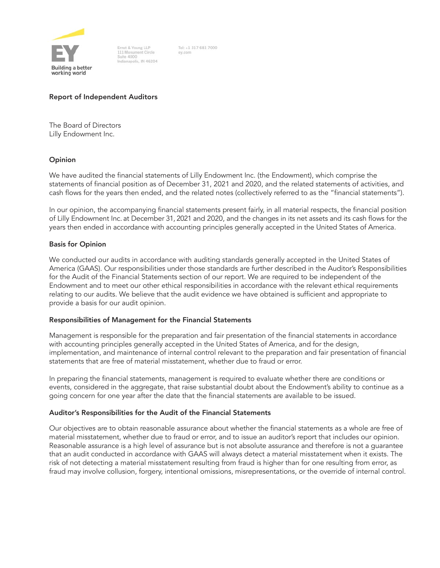

Ernst & Young LLP 111 Monument Circle Suite 4000 Indianapolis, IN 46204

Tel: +1 317 681 7000 ev.com

# Report of Independent Auditors

The Board of Directors Lilly Endowment Inc.

# Opinion

We have audited the financial statements of Lilly Endowment Inc. (the Endowment), which comprise the statements of financial position as of December 31, 2021 and 2020, and the related statements of activities, and cash flows for the years then ended, and the related notes (collectively referred to as the "financial statements").

In our opinion, the accompanying financial statements present fairly, in all material respects, the financial position of Lilly Endowment Inc. at December 31, 2021 and 2020, and the changes in its net assets and its cash flows for the years then ended in accordance with accounting principles generally accepted in the United States of America.

# Basis for Opinion

We conducted our audits in accordance with auditing standards generally accepted in the United States of America (GAAS). Our responsibilities under those standards are further described in the Auditor's Responsibilities for the Audit of the Financial Statements section of our report. We are required to be independent of the Endowment and to meet our other ethical responsibilities in accordance with the relevant ethical requirements relating to our audits. We believe that the audit evidence we have obtained is sufficient and appropriate to provide a basis for our audit opinion.

## Responsibilities of Management for the Financial Statements

Management is responsible for the preparation and fair presentation of the financial statements in accordance with accounting principles generally accepted in the United States of America, and for the design, implementation, and maintenance of internal control relevant to the preparation and fair presentation of financial statements that are free of material misstatement, whether due to fraud or error.

In preparing the financial statements, management is required to evaluate whether there are conditions or events, considered in the aggregate, that raise substantial doubt about the Endowment's ability to continue as a going concern for one year after the date that the financial statements are available to be issued.

# Auditor's Responsibilities for the Audit of the Financial Statements

Our objectives are to obtain reasonable assurance about whether the financial statements as a whole are free of material misstatement, whether due to fraud or error, and to issue an auditor's report that includes our opinion. Reasonable assurance is a high level of assurance but is not absolute assurance and therefore is not a guarantee that an audit conducted in accordance with GAAS will always detect a material misstatement when it exists. The risk of not detecting a material misstatement resulting from fraud is higher than for one resulting from error, as fraud may involve collusion, forgery, intentional omissions, misrepresentations, or the override of internal control.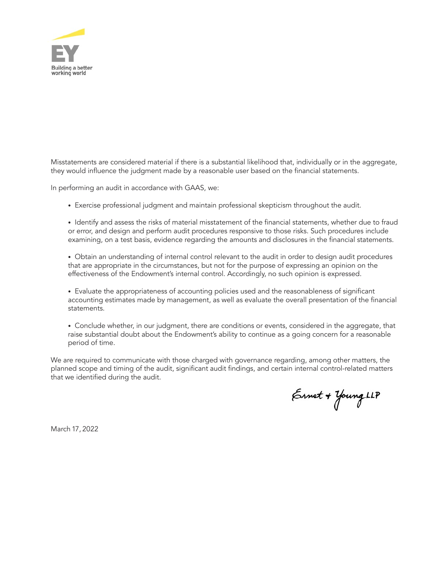

Misstatements are considered material if there is a substantial likelihood that, individually or in the aggregate, they would influence the judgment made by a reasonable user based on the financial statements.

In performing an audit in accordance with GAAS, we:

- Exercise professional judgment and maintain professional skepticism throughout the audit.
- Identify and assess the risks of material misstatement of the financial statements, whether due to fraud or error, and design and perform audit procedures responsive to those risks. Such procedures include examining, on a test basis, evidence regarding the amounts and disclosures in the financial statements.
- Obtain an understanding of internal control relevant to the audit in order to design audit procedures that are appropriate in the circumstances, but not for the purpose of expressing an opinion on the effectiveness of the Endowment's internal control. Accordingly, no such opinion is expressed.
- Evaluate the appropriateness of accounting policies used and the reasonableness of significant accounting estimates made by management, as well as evaluate the overall presentation of the financial statements.
- Conclude whether, in our judgment, there are conditions or events, considered in the aggregate, that raise substantial doubt about the Endowment's ability to continue as a going concern for a reasonable period of time.

We are required to communicate with those charged with governance regarding, among other matters, the planned scope and timing of the audit, significant audit findings, and certain internal control-related matters that we identified during the audit.

Ernet + Young LLP

March 17, 2022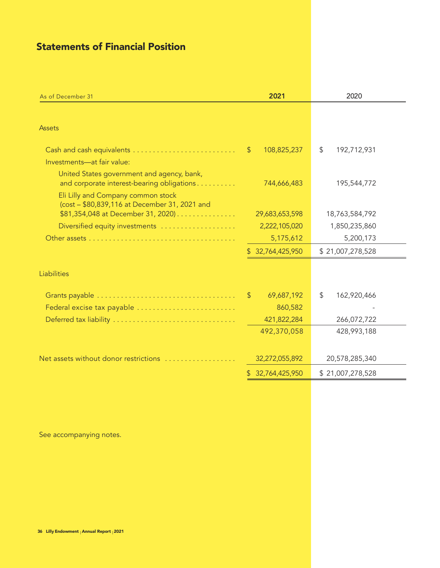# Statements of Financial Position

| <b>Assets</b><br>108,825,237<br>\$<br>192,712,931<br>$\mathcal{S}$<br>Investments-at fair value:<br>United States government and agency, bank,<br>and corporate interest-bearing obligations<br>744,666,483<br>195,544,772<br>Eli Lilly and Company common stock<br>(cost - \$80,839,116 at December 31, 2021 and<br>\$81,354,048 at December 31, 2020)<br>29,683,653,598<br>18,763,584,792<br>2,222,105,020<br>Diversified equity investments<br>1,850,235,860<br>5,175,612<br>5,200,173<br>\$32,764,425,950<br>\$21,007,278,528<br>Liabilities<br>\$<br>69,687,192<br>162,920,466<br>$\mathbb{S}$<br>Federal excise tax payable<br>860,582<br>Deferred tax liability<br>421,822,284<br>266,072,722<br>492,370,058<br>428,993,188<br>Net assets without donor restrictions<br>32,272,055,892<br>20,578,285,340<br>32,764,425,950<br>\$21,007,278,528<br>Ъ | As of December 31 | 2021 | 2020 |
|------------------------------------------------------------------------------------------------------------------------------------------------------------------------------------------------------------------------------------------------------------------------------------------------------------------------------------------------------------------------------------------------------------------------------------------------------------------------------------------------------------------------------------------------------------------------------------------------------------------------------------------------------------------------------------------------------------------------------------------------------------------------------------------------------------------------------------------------------------|-------------------|------|------|
|                                                                                                                                                                                                                                                                                                                                                                                                                                                                                                                                                                                                                                                                                                                                                                                                                                                            |                   |      |      |
|                                                                                                                                                                                                                                                                                                                                                                                                                                                                                                                                                                                                                                                                                                                                                                                                                                                            |                   |      |      |
|                                                                                                                                                                                                                                                                                                                                                                                                                                                                                                                                                                                                                                                                                                                                                                                                                                                            |                   |      |      |
|                                                                                                                                                                                                                                                                                                                                                                                                                                                                                                                                                                                                                                                                                                                                                                                                                                                            |                   |      |      |
|                                                                                                                                                                                                                                                                                                                                                                                                                                                                                                                                                                                                                                                                                                                                                                                                                                                            |                   |      |      |
|                                                                                                                                                                                                                                                                                                                                                                                                                                                                                                                                                                                                                                                                                                                                                                                                                                                            |                   |      |      |
|                                                                                                                                                                                                                                                                                                                                                                                                                                                                                                                                                                                                                                                                                                                                                                                                                                                            |                   |      |      |
|                                                                                                                                                                                                                                                                                                                                                                                                                                                                                                                                                                                                                                                                                                                                                                                                                                                            |                   |      |      |
|                                                                                                                                                                                                                                                                                                                                                                                                                                                                                                                                                                                                                                                                                                                                                                                                                                                            |                   |      |      |
|                                                                                                                                                                                                                                                                                                                                                                                                                                                                                                                                                                                                                                                                                                                                                                                                                                                            |                   |      |      |
|                                                                                                                                                                                                                                                                                                                                                                                                                                                                                                                                                                                                                                                                                                                                                                                                                                                            |                   |      |      |
|                                                                                                                                                                                                                                                                                                                                                                                                                                                                                                                                                                                                                                                                                                                                                                                                                                                            |                   |      |      |
|                                                                                                                                                                                                                                                                                                                                                                                                                                                                                                                                                                                                                                                                                                                                                                                                                                                            |                   |      |      |
|                                                                                                                                                                                                                                                                                                                                                                                                                                                                                                                                                                                                                                                                                                                                                                                                                                                            |                   |      |      |
|                                                                                                                                                                                                                                                                                                                                                                                                                                                                                                                                                                                                                                                                                                                                                                                                                                                            |                   |      |      |
|                                                                                                                                                                                                                                                                                                                                                                                                                                                                                                                                                                                                                                                                                                                                                                                                                                                            |                   |      |      |
|                                                                                                                                                                                                                                                                                                                                                                                                                                                                                                                                                                                                                                                                                                                                                                                                                                                            |                   |      |      |

See accompanying notes.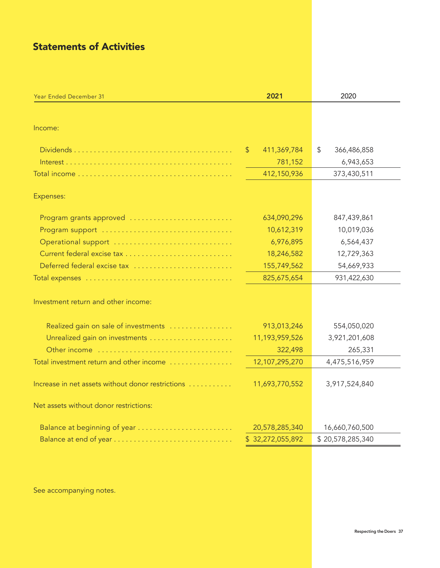# Statements of Activities

| Year Ended December 31                            | 2021                                   | 2020              |
|---------------------------------------------------|----------------------------------------|-------------------|
|                                                   |                                        |                   |
| Income:                                           |                                        |                   |
|                                                   | $\sqrt[6]{\frac{1}{2}}$<br>411,369,784 | \$<br>366,486,858 |
|                                                   | 781,152                                | 6,943,653         |
|                                                   | 412,150,936                            | 373,430,511       |
| Expenses:                                         |                                        |                   |
| Program grants approved                           | 634,090,296                            | 847,439,861       |
|                                                   | 10,612,319                             | 10,019,036        |
| Operational support                               | 6,976,895                              | 6,564,437         |
|                                                   | 18,246,582                             | 12,729,363        |
| Deferred federal excise tax                       | 155,749,562                            | 54,669,933        |
|                                                   | 825,675,654                            | 931,422,630       |
| Investment return and other income:               |                                        |                   |
| Realized gain on sale of investments              | 913,013,246                            | 554,050,020       |
|                                                   | 11,193,959,526                         | 3,921,201,608     |
| Other income                                      | 322,498                                | 265,331           |
| Total investment return and other income          | 12,107,295,270                         | 4,475,516,959     |
| Increase in net assets without donor restrictions | 11,693,770,552                         | 3,917,524,840     |
| Net assets without donor restrictions:            |                                        |                   |
| Balance at beginning of year                      | 20,578,285,340                         | 16,660,760,500    |
|                                                   | \$32,272,055,892                       | \$20,578,285,340  |

See accompanying notes.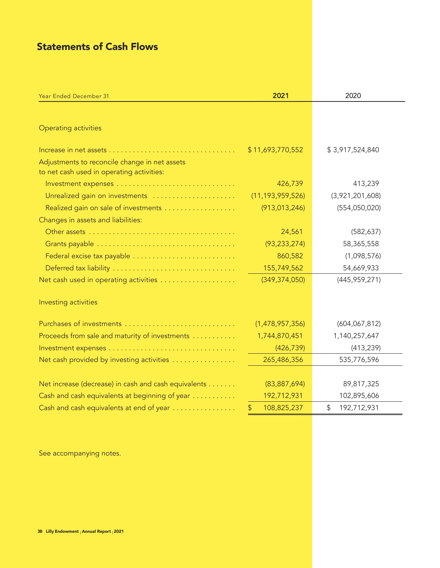# Statements of Cash Flows

| Year Ended December 31                                                                     | 2021                | 2020              |
|--------------------------------------------------------------------------------------------|---------------------|-------------------|
|                                                                                            |                     |                   |
| <b>Operating activities</b>                                                                |                     |                   |
|                                                                                            | \$11,693,770,552    | \$3,917,524,840   |
| Adjustments to reconcile change in net assets<br>to net cash used in operating activities: |                     |                   |
|                                                                                            | 426,739             | 413,239           |
| Unrealized gain on investments                                                             | (11, 193, 959, 526) | (3,921,201,608)   |
|                                                                                            | (913, 013, 246)     | (554,050,020)     |
| Changes in assets and liabilities:                                                         |                     |                   |
|                                                                                            | 24,561              | (582, 637)        |
|                                                                                            | (93, 233, 274)      | 58,365,558        |
| Federal excise tax payable                                                                 | 860,582             | (1,098,576)       |
|                                                                                            | 155,749,562         | 54,669,933        |
| Net cash used in operating activities                                                      | (349, 374, 050)     | (445, 959, 271)   |
| Investing activities                                                                       |                     |                   |
|                                                                                            | (1,478,957,356)     | (604, 067, 812)   |
| Proceeds from sale and maturity of investments                                             | 1,744,870,451       | 1,140,257,647     |
|                                                                                            | (426, 739)          | (413, 239)        |
| Net cash provided by investing activities                                                  | 265,486,356         | 535,776,596       |
|                                                                                            |                     |                   |
| Net increase (decrease) in cash and cash equivalents                                       | (83, 887, 694)      | 89,817,325        |
| Cash and cash equivalents at beginning of year                                             | 192,712,931         | 102,895,606       |
| Cash and cash equivalents at end of year                                                   | 108,825,237<br>\$   | 192,712,931<br>\$ |

See accompanying notes.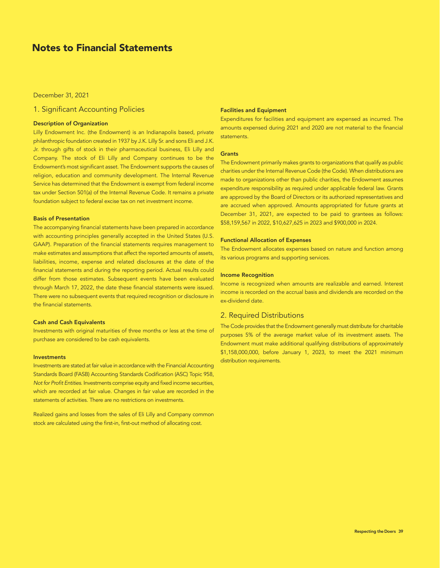# Notes to Financial Statements

#### December 31, 2021

# 1. Significant Accounting Policies

#### Description of Organization

Lilly Endowment Inc. (the Endowment) is an Indianapolis based, private philanthropic foundation created in 1937 by J.K. Lilly Sr. and sons Eli and J.K. Jr. through gifts of stock in their pharmaceutical business, Eli Lilly and Company. The stock of Eli Lilly and Company continues to be the Endowment's most significant asset. The Endowment supports the causes of religion, education and community development. The Internal Revenue Service has determined that the Endowment is exempt from federal income tax under Section 501(a) of the Internal Revenue Code. It remains a private foundation subject to federal excise tax on net investment income.

#### Basis of Presentation

The accompanying financial statements have been prepared in accordance with accounting principles generally accepted in the United States (U.S. GAAP). Preparation of the financial statements requires management to make estimates and assumptions that affect the reported amounts of assets, liabilities, income, expense and related disclosures at the date of the financial statements and during the reporting period. Actual results could differ from those estimates. Subsequent events have been evaluated through March 17, 2022, the date these financial statements were issued. There were no subsequent events that required recognition or disclosure in the financial statements.

#### Cash and Cash Equivalents

Investments with original maturities of three months or less at the time of purchase are considered to be cash equivalents.

#### Investments

Investments are stated at fair value in accordance with the Financial Accounting Standards Board (FASB) Accounting Standards Codification (ASC) Topic 958, *Not for Profit Entities*. Investments comprise equity and fixed income securities, which are recorded at fair value. Changes in fair value are recorded in the statements of activities. There are no restrictions on investments.

Realized gains and losses from the sales of Eli Lilly and Company common stock are calculated using the first-in, first-out method of allocating cost.

#### Facilities and Equipment

Expenditures for facilities and equipment are expensed as incurred. The amounts expensed during 2021 and 2020 are not material to the financial statements.

#### **Grants**

The Endowment primarily makes grants to organizations that qualify as public charities under the Internal Revenue Code (the Code). When distributions are made to organizations other than public charities, the Endowment assumes expenditure responsibility as required under applicable federal law. Grants are approved by the Board of Directors or its authorized representatives and are accrued when approved. Amounts appropriated for future grants at December 31, 2021, are expected to be paid to grantees as follows: \$58,159,567 in 2022, \$10,627,625 in 2023 and \$900,000 in 2024.

#### Functional Allocation of Expenses

The Endowment allocates expenses based on nature and function among its various programs and supporting services.

#### Income Recognition

Income is recognized when amounts are realizable and earned. Interest income is recorded on the accrual basis and dividends are recorded on the ex-dividend date.

## 2. Required Distributions

The Code provides that the Endowment generally must distribute for charitable purposes 5% of the average market value of its investment assets. The Endowment must make additional qualifying distributions of approximately \$1,158,000,000, before January 1, 2023, to meet the 2021 minimum distribution requirements.